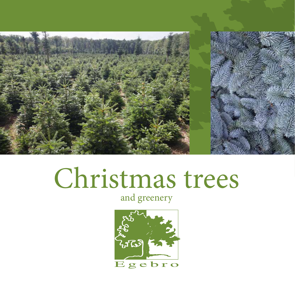

# Christmas trees

## and greenery

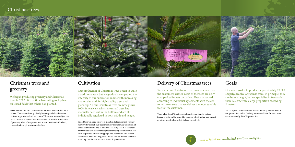# Christmas trees and greenery

We began producing greenery and Christmas trees in 2002. At that time harvesting took place on leased fields that others had planted.

We established the first plantations of our own with Nordmann fir in 2006. These areas have gradually been expanded and we now cultivate approximately 45 hectares of Christmas trees and just under 15 hectares of Noble fir and Nordmann fir for the production of greenery. Most of the plantations are on the island of Lolland, but we also have plantations on Zealand.

### Delivery of Christmas trees

We mark our Christmas trees ourselves based on the customer's wishes. Most of the trees are delivered packed in nets on pallets. They are packed according to individual agreements with the customers to ensure that we deliver the most suitable tree for the customer.

Trees taller than 2½ metres are also delivered in nets, but are loaded loosely on the lorry. The trees are felled, netted and packed as late as practically possible to keep them fresh.



### Cultivation

Our production of Christmas trees began in quite a traditional way, but we gradually stepped up the intensity of our cultivation in line with increasing market demand for high-quality trees and greenery. All our Christmas trees are now grown 100% intensively, which means all trees has manually been cut in the bottom and are all individually regulated in both width and height.

In addition we carry out weed, insect and algae control. Furthermore we fertilise all our trees manually to maximise utilisation of the added nutrients and to minimise leaching. Most of the areas are fertilised with slowly biodegradable biological fertiliser in the form of pelleted chicken droppings. We have found this type of fertilisation effective and gives us a lush and full-bodied greenery with long needles and an attractive dark green colour.

### Goals

Our main goal is to produce approximately 20,000 shapely, healthy Christmas trees. In principle, they can be any height, but we specialise in trees taller than 175 cm, with a large proportion exceeding 2 metres.

We take great care to consider the surrounding environment in our production and in the long term we will aim for even more environmentally friendly production.



Find us on Facebook too: www.facebook.com/Carsten-Egebro